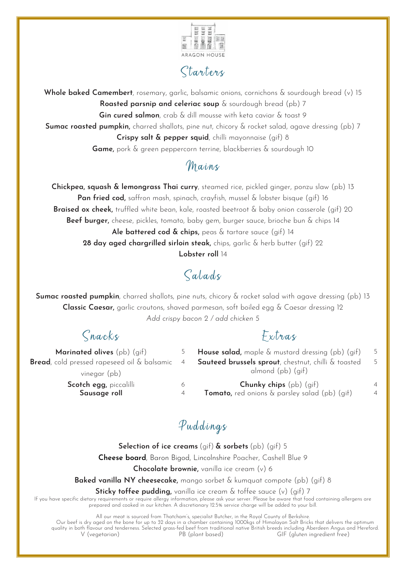

# Starters

**Whole baked Camembert**, rosemary, garlic, balsamic onions, cornichons & sourdough bread (v) 15 **Roasted parsnip and celeriac soup** & sourdough bread (pb) 7 **Gin cured salmon**, crab & dill mousse with keta caviar & toast 9 **Sumac roasted pumpkin,** charred shallots, pine nut, chicory & rocket salad, agave dressing (pb) 7 **Crispy salt & pepper squid**, chilli mayonnaise (gif) 8 **Game,** pork & green peppercorn terrine, blackberries & sourdough 10

## Mains

**Chickpea, squash & lemongrass Thai curry**, steamed rice, pickled ginger, ponzu slaw (pb) 13 **Pan fried cod,** saffron mash, spinach, crayfish, mussel & lobster bisque (gif) 16 **Braised ox cheek,** truffled white bean, kale, roasted beetroot & baby onion casserole (gif) 20 **Beef burger,** cheese, pickles, tomato, baby gem, burger sauce, brioche bun & chips 14 **Ale battered cod & chips,** peas & tartare sauce (gif) 14 **28 day aged chargrilled sirloin steak,** chips, garlic & herb butter (gif) 22 **Lobster roll** 14

# Salads

**Sumac roasted pumpkin**, charred shallots, pine nuts, chicory & rocket salad with agave dressing (pb) 13 **Classic Caesar,** garlic croutons, shaved parmesan, soft boiled egg & Caesar dressing 12 *Add crispy bacon 2 / add chicken 5*

# Snacks Extras

| <b>Marinated olives</b> $(\text{pb})$ $(\text{gif})$                    | 5              | <b>House salad,</b> maple & mustard dressing (pb) (gif) | -5             |
|-------------------------------------------------------------------------|----------------|---------------------------------------------------------|----------------|
| <b>Bread</b> , cold pressed rapeseed oil $\&$ balsamic $\left(4\right)$ |                | Sauteed brussels sprout, chestnut, chilli & toasted     | -5             |
| vinegar (pb)                                                            |                | almond (pb) (gif)                                       |                |
| Scotch egg, piccalilli                                                  | 6              | <b>Chunky chips</b> $(pb)$ $(qif)$                      | $\Delta$       |
| Sausage roll                                                            | $\overline{4}$ | <b>Tomato,</b> red onions & parsley salad (pb) (gif)    | $\overline{4}$ |
|                                                                         |                |                                                         |                |

# Puddings

**Selection of ice creams** (gif) **& sorbets** (pb) (gif) 5 **Cheese board**, Baron Bigod, Lincolnshire Poacher, Cashell Blue 9

**Chocolate brownie,** vanilla ice cream (v) 6

**Baked vanilla NY cheesecake,** mango sorbet & kumquat compote (pb) (gif) 8

**Sticky toffee pudding,** vanilla ice cream & toffee sauce (v) (gif) 7

If you have specific dietary requirements or require allergy information, please ask your server. Please be aware that food containing allergens are prepared and cooked in our kitchen. A discretionary 12.5% service charge will be added to your bill.

All our meat is sourced from Thatcham's, specialist Butcher, in the Royal County of Berkshire.

Our beef is dry aged on the bone for up to 32 days in a chamber containing 1000kgs of Himalayan Salt Bricks that delivers the optimum quality in both flavour and tenderness. Selected grass-fed beef from traditional native British breeds including Aberdeen Angus and Hereford.<br>V (vegetarian) PB (plant based) GIF (gluten ingredient free) GIF (gluten ingredient free)